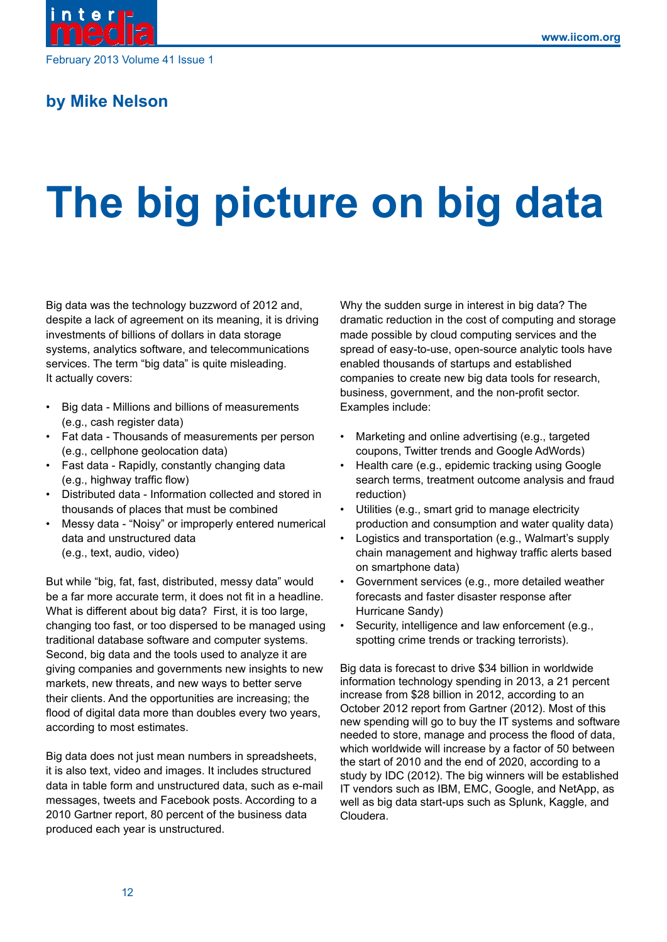

February 2013 Volume 41 Issue 1

# **by Mike Nelson**

# **The big picture on big data**

Big data was the technology buzzword of 2012 and, despite a lack of agreement on its meaning, it is driving investments of billions of dollars in data storage systems, analytics software, and telecommunications services. The term "big data" is quite misleading. It actually covers:

- Big data Millions and billions of measurements (e.g., cash register data)
- Fat data Thousands of measurements per person (e.g., cellphone geolocation data)
- Fast data Rapidly, constantly changing data (e.g., highway traffic flow)
- Distributed data Information collected and stored in thousands of places that must be combined
- Messy data "Noisy" or improperly entered numerical data and unstructured data (e.g., text, audio, video)

But while "big, fat, fast, distributed, messy data" would be a far more accurate term, it does not fit in a headline. What is different about big data? First, it is too large, changing too fast, or too dispersed to be managed using traditional database software and computer systems. Second, big data and the tools used to analyze it are giving companies and governments new insights to new markets, new threats, and new ways to better serve their clients. And the opportunities are increasing; the flood of digital data more than doubles every two years, according to most estimates.

Big data does not just mean numbers in spreadsheets, it is also text, video and images. It includes structured data in table form and unstructured data, such as e-mail messages, tweets and Facebook posts. According to a 2010 Gartner report, 80 percent of the business data produced each year is unstructured.

Why the sudden surge in interest in big data? The dramatic reduction in the cost of computing and storage made possible by cloud computing services and the spread of easy-to-use, open-source analytic tools have enabled thousands of startups and established companies to create new big data tools for research, business, government, and the non-profit sector. Examples include:

- Marketing and online advertising (e.g., targeted coupons, Twitter trends and Google AdWords)
- Health care (e.g., epidemic tracking using Google search terms, treatment outcome analysis and fraud reduction)
- Utilities (e.g., smart grid to manage electricity production and consumption and water quality data)
- Logistics and transportation (e.g., Walmart's supply chain management and highway traffic alerts based on smartphone data)
- Government services (e.g., more detailed weather forecasts and faster disaster response after Hurricane Sandy)
- Security, intelligence and law enforcement (e.g., spotting crime trends or tracking terrorists).

Big data is forecast to drive \$34 billion in worldwide information technology spending in 2013, a 21 percent increase from \$28 billion in 2012, according to an October 2012 report from Gartner (2012). Most of this new spending will go to buy the IT systems and software needed to store, manage and process the flood of data, which worldwide will increase by a factor of 50 between the start of 2010 and the end of 2020, according to a study by IDC (2012). The big winners will be established IT vendors such as IBM, EMC, Google, and NetApp, as well as big data start-ups such as Splunk, Kaggle, and Cloudera.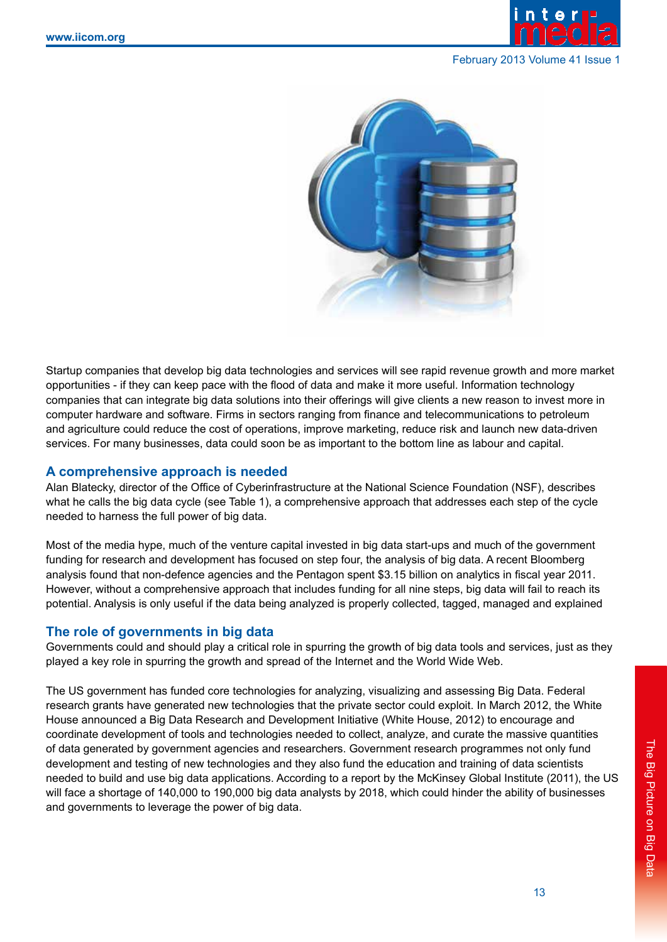

#### February 2013 Volume 41 Issue 1



Startup companies that develop big data technologies and services will see rapid revenue growth and more market opportunities - if they can keep pace with the flood of data and make it more useful. Information technology companies that can integrate big data solutions into their offerings will give clients a new reason to invest more in computer hardware and software. Firms in sectors ranging from finance and telecommunications to petroleum and agriculture could reduce the cost of operations, improve marketing, reduce risk and launch new data-driven services. For many businesses, data could soon be as important to the bottom line as labour and capital.

#### **A comprehensive approach is needed**

Alan Blatecky, director of the Office of Cyberinfrastructure at the National Science Foundation (NSF), describes what he calls the big data cycle (see Table 1), a comprehensive approach that addresses each step of the cycle needed to harness the full power of big data.

Most of the media hype, much of the venture capital invested in big data start-ups and much of the government funding for research and development has focused on step four, the analysis of big data. A recent Bloomberg analysis found that non-defence agencies and the Pentagon spent \$3.15 billion on analytics in fiscal year 2011. However, without a comprehensive approach that includes funding for all nine steps, big data will fail to reach its potential. Analysis is only useful if the data being analyzed is properly collected, tagged, managed and explained

#### **The role of governments in big data**

Governments could and should play a critical role in spurring the growth of big data tools and services, just as they played a key role in spurring the growth and spread of the Internet and the World Wide Web.

The US government has funded core technologies for analyzing, visualizing and assessing Big Data. Federal research grants have generated new technologies that the private sector could exploit. In March 2012, the White House announced a Big Data Research and Development Initiative (White House, 2012) to encourage and coordinate development of tools and technologies needed to collect, analyze, and curate the massive quantities of data generated by government agencies and researchers. Government research programmes not only fund development and testing of new technologies and they also fund the education and training of data scientists needed to build and use big data applications. According to a report by the McKinsey Global Institute (2011), the US will face a shortage of 140,000 to 190,000 big data analysts by 2018, which could hinder the ability of businesses and governments to leverage the power of big data.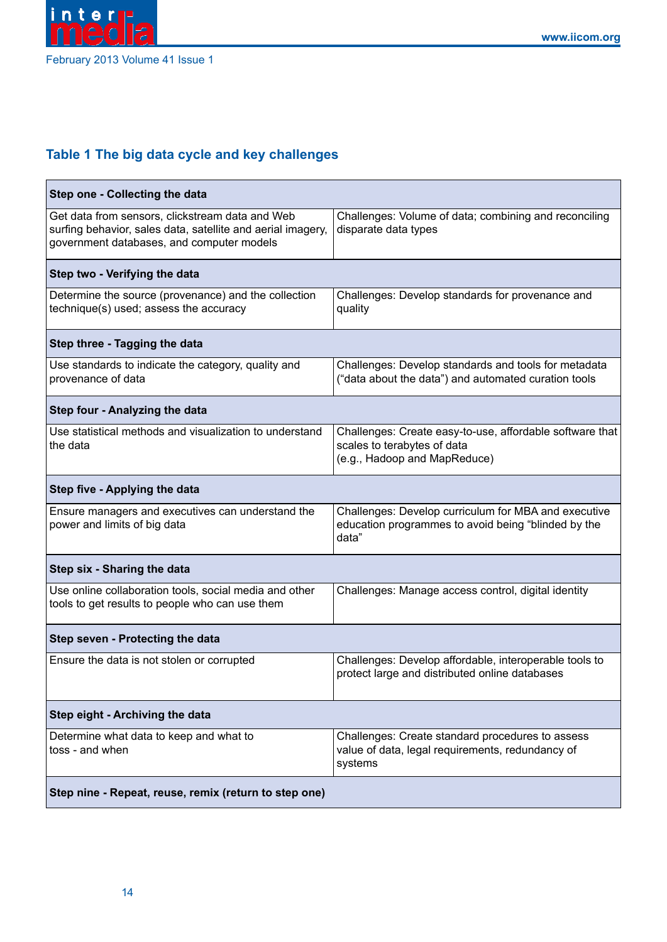

# **Table 1 The big data cycle and key challenges**

| Step one - Collecting the data                                                                                                                              |                                                                                                                         |
|-------------------------------------------------------------------------------------------------------------------------------------------------------------|-------------------------------------------------------------------------------------------------------------------------|
| Get data from sensors, clickstream data and Web<br>surfing behavior, sales data, satellite and aerial imagery,<br>government databases, and computer models | Challenges: Volume of data; combining and reconciling<br>disparate data types                                           |
| Step two - Verifying the data                                                                                                                               |                                                                                                                         |
| Determine the source (provenance) and the collection<br>technique(s) used; assess the accuracy                                                              | Challenges: Develop standards for provenance and<br>quality                                                             |
| Step three - Tagging the data                                                                                                                               |                                                                                                                         |
| Use standards to indicate the category, quality and<br>provenance of data                                                                                   | Challenges: Develop standards and tools for metadata<br>("data about the data") and automated curation tools            |
| Step four - Analyzing the data                                                                                                                              |                                                                                                                         |
| Use statistical methods and visualization to understand<br>the data                                                                                         | Challenges: Create easy-to-use, affordable software that<br>scales to terabytes of data<br>(e.g., Hadoop and MapReduce) |
| Step five - Applying the data                                                                                                                               |                                                                                                                         |
| Ensure managers and executives can understand the<br>power and limits of big data                                                                           | Challenges: Develop curriculum for MBA and executive<br>education programmes to avoid being "blinded by the<br>data"    |
| Step six - Sharing the data                                                                                                                                 |                                                                                                                         |
| Use online collaboration tools, social media and other<br>tools to get results to people who can use them                                                   | Challenges: Manage access control, digital identity                                                                     |
| Step seven - Protecting the data                                                                                                                            |                                                                                                                         |
| Ensure the data is not stolen or corrupted                                                                                                                  | Challenges: Develop affordable, interoperable tools to<br>protect large and distributed online databases                |
| Step eight - Archiving the data                                                                                                                             |                                                                                                                         |
| Determine what data to keep and what to<br>toss - and when                                                                                                  | Challenges: Create standard procedures to assess<br>value of data, legal requirements, redundancy of<br>systems         |
| Step nine - Repeat, reuse, remix (return to step one)                                                                                                       |                                                                                                                         |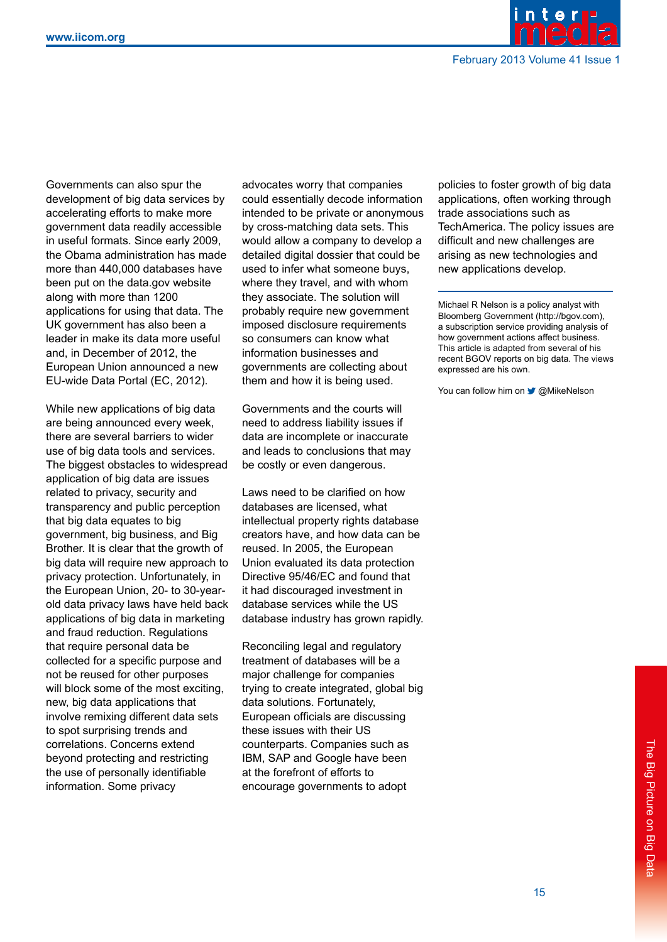

Governments can also spur the development of big data services by accelerating efforts to make more government data readily accessible in useful formats. Since early 2009, the Obama administration has made more than 440,000 databases have been put on the data.gov website along with more than 1200 applications for using that data. The UK government has also been a leader in make its data more useful and, in December of 2012, the European Union announced a new EU-wide Data Portal (EC, 2012).

While new applications of big data are being announced every week, there are several barriers to wider use of big data tools and services. The biggest obstacles to widespread application of big data are issues related to privacy, security and transparency and public perception that big data equates to big government, big business, and Big Brother. It is clear that the growth of big data will require new approach to privacy protection. Unfortunately, in the European Union, 20- to 30-yearold data privacy laws have held back applications of big data in marketing and fraud reduction. Regulations that require personal data be collected for a specific purpose and not be reused for other purposes will block some of the most exciting, new, big data applications that involve remixing different data sets to spot surprising trends and correlations. Concerns extend beyond protecting and restricting the use of personally identifiable information. Some privacy

advocates worry that companies could essentially decode information intended to be private or anonymous by cross-matching data sets. This would allow a company to develop a detailed digital dossier that could be used to infer what someone buys, where they travel, and with whom they associate. The solution will probably require new government imposed disclosure requirements so consumers can know what information businesses and governments are collecting about them and how it is being used.

Governments and the courts will need to address liability issues if data are incomplete or inaccurate and leads to conclusions that may be costly or even dangerous.

Laws need to be clarified on how databases are licensed, what intellectual property rights database creators have, and how data can be reused. In 2005, the European Union evaluated its data protection Directive 95/46/EC and found that it had discouraged investment in database services while the US database industry has grown rapidly.

Reconciling legal and regulatory treatment of databases will be a major challenge for companies trying to create integrated, global big data solutions. Fortunately, European officials are discussing these issues with their US counterparts. Companies such as IBM, SAP and Google have been at the forefront of efforts to encourage governments to adopt

policies to foster growth of big data applications, often working through trade associations such as TechAmerica. The policy issues are difficult and new challenges are arising as new technologies and new applications develop.

Michael R Nelson is a policy analyst with Bloomberg Government (http://bgov.com), a subscription service providing analysis of how government actions affect business. This article is adapted from several of his recent BGOV reports on big data. The views expressed are his own.

You can follow him on **3** @MikeNelson